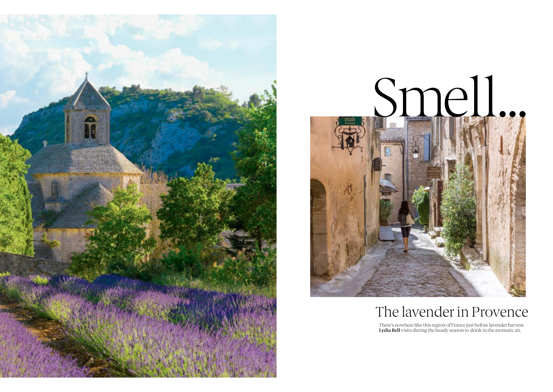



# The lavender in Provence

There's nowhere like this region of France just before lavender harvest.<br>**Lydia Bell** visits during the heady season to drink in the aromatic air.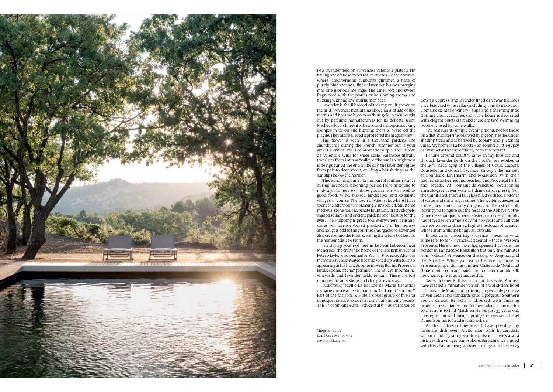

IN <sup>A</sup> lavender field on Provence's Valensole plateau, I'm having one of those hyperreal moments. To the horizon, where late-afernoon sunbursts glimmer, a haze of purply-blue extends, linear lavender bushes merging into one glorious mélange. The air is soft and sweet. fragranced with the plant's pulse-slowing aroma and buzzing with the low, dull hum of bees.

Lavender is the lifeblood of this region. It grows on the arid Provençal mountains above an altitude of 800 metres and became known as "blue gold" when sought out by perfume manufacturers for its delicate scent. Medieval locals knew it to be a sound antiseptic, soaking sponges in its oil and burning them to ward off the plague. They also believed it protected them against evil.

The flower is seen in a thousand gardens and churchyards during the French summer but if your aim is a critical mass of aromatic purple, the Plateau de Valensole wins for sheer scale. Valensole literally translates from Latin as "valley of the sun" so brightness is de rigueur. At the end of the day, the lavender segues from pale to deep violet, exuding a bluish tinge as the sun slips below the horizon.

There's nothing quite like this part of southern France during lavender's blooming period from mid-June to mid-July. I'm here to imbibe good smells – as well as good food, wine, blessed landscapes and exquisite villages, of course. The town of Valensole, where I have spent the afernoon, is pleasingly unspoiled. Shuttered medieval stone houses, ornate fountains, pretty chapels, shaded squares and ancient gardens ofer beauty for the eyes. The shopping is great, too; everywhere, artisanal stores sell lavender-based products. Truffles, honeys and nougats add to the gourmet smorgasbord. Lavender whose aroma fills the balmy air outside. also creeps into the food, scenting the crème brûlée and the homemade ice-cream.

I'm staying south of here in Le Petit Luberon, near Ménerbes, the erstwhile home of the late British author Peter Mayle, who penned *A Year in Provence*. Afer his memoir's success, Mayle became so fed up with tourists appearing at his front door, he moved. But his Provençal landscape hasn't changed much. The valleys, mountains, vineyards and lavender fields remain. There are just more restaurants, shops and chic places to stay.

Ludicrously idyllic La Bastide de Marie (labastide demarie.com) is a case in point and had me at "Bonjour!" Part of the Maisons & Hotels Sibuet group of five-star boutique hotels, it exudes a rustic but knowing beauty. This 15-room-and-suite 18th-century *mas* (farmhouse)

The grounds of a farmhouse overlooking the hills of Luberon

down a cypress- and lavender-lined driveway includes a well-stocked wine cellar (including from its next-door Domaine de Marie winery), a spa and a charming little clothing and accessories shop. The house is decorated with elegant objets d'art and there are two swimming pools enclosed by stone walls.

The restaurant (sample evening menu, not for those on a diet: duck terrine followed by pigeon) nestles under shading trees and is banked by topiary and glistening vines. My home is La Roulotte – an eccentric little gypsy caravan set at the end of the 23-hectare vineyard.

I snake around country lanes in my hire car and through lavender fields on the hotel's free e-bikes in the 40°C heat, agog at the villages of Goult, Lacoste, Coustellet and Gordes. I wander through the markets at Bonnieux, Lourmarin and Roussillon, with their scented strawberries and peaches, and Provençal herbs and breads. At Fontaine-de-Vaucluse, overlooking emerald-green river waters, I drink citron pressé. (For the uninitiated, that's a tall glass filled with ice, a pitcher of water and some sugar cubes. The waiter squeezes an entire juicy lemon into your glass and then strolls off leaving you to figure out the rest.) At the Abbaye Notre-Dame de Sénanque, where a Cistercian order of monks has prayed seven times a day for 900 years and cultivate lavender, olives and honey, I sigh at the clouds of lavender

In search of untouristy Provence, I head to what some refer to as "Provence Occidental" – that is, Western Provence. Here, a new hotel has opened that's over the border in Languedoc-Roussillon but only five minutes from "official" Provence, on the cusp of Avignon and the Ardèche. While you won't be able to move in Provence proper during summer, Château de Montcaud (hotel.qantas.com.au/chateaudemontcaud), an old silk merchant's pile, is quiet and restful.

Swiss hotelier Rolf Bertschi and his wife, Andrea, have created a miniature version of a world-class hotel at Château de Montcaud, painting impeccably processdriven detail and standards onto a gorgeous Southern French canvas. Bertschi is obsessed with amazing produce, presentation and kitchen talent, scouring his connections to find Matthieu Hervé, just 33 years old, a rising talent and former protégé of renowned chef Daniel Boulud, to head up his kitchen.

At their alfresco fine-diner. I have possibly my favourite dish ever: Arctic char with horseradish, salicorn and a granny smith emulsion. There's also a bistro with a villagey atmosphere. Bertschi once argued with Hervé about being allowed to stage brunches –  $\epsilon$ 65